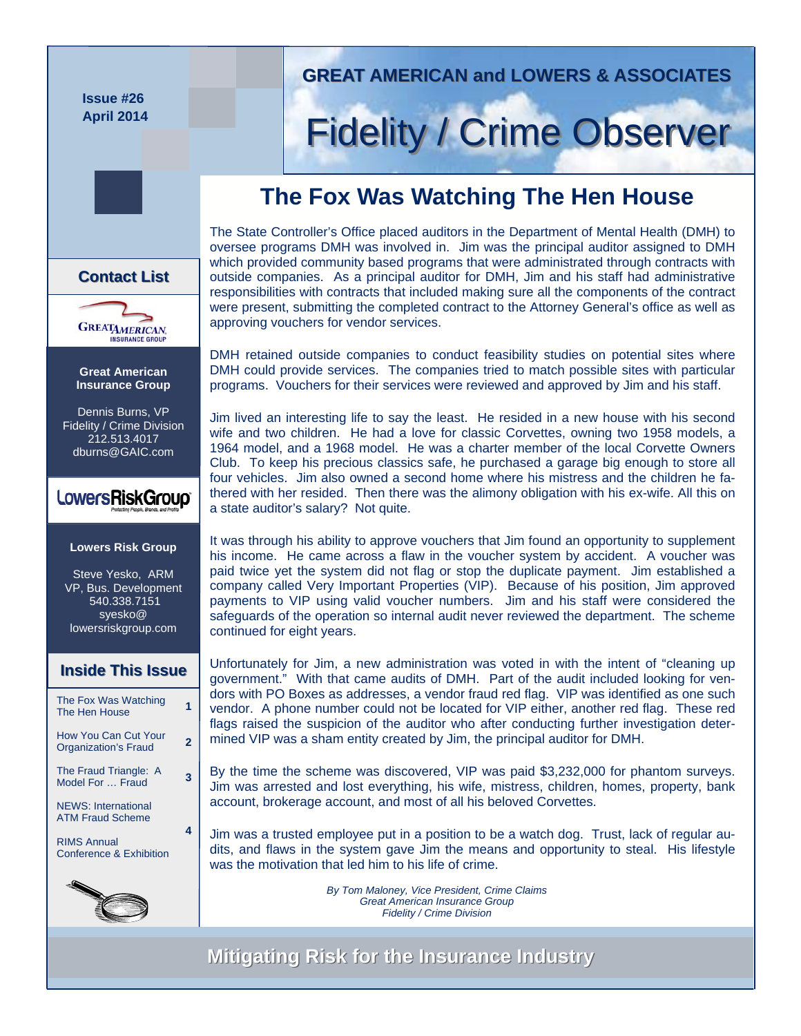**Issue #26 April 2014** 

## **GREAT AMERICAN and LOWERS & ASSOCIATES GREAT AMERICAN and LOWERS & ASSOCIATES**

## **Fidelity / Crime Observer**

## **The Fox Was Watching The Hen House**

The State Controller's Office placed auditors in the Department of Mental Health (DMH) to oversee programs DMH was involved in. Jim was the principal auditor assigned to DMH which provided community based programs that were administrated through contracts with outside companies. As a principal auditor for DMH, Jim and his staff had administrative responsibilities with contracts that included making sure all the components of the contract were present, submitting the completed contract to the Attorney General's office as well as approving vouchers for vendor services.

DMH retained outside companies to conduct feasibility studies on potential sites where DMH could provide services. The companies tried to match possible sites with particular programs. Vouchers for their services were reviewed and approved by Jim and his staff.

Jim lived an interesting life to say the least. He resided in a new house with his second wife and two children. He had a love for classic Corvettes, owning two 1958 models, a 1964 model, and a 1968 model. He was a charter member of the local Corvette Owners Club. To keep his precious classics safe, he purchased a garage big enough to store all four vehicles. Jim also owned a second home where his mistress and the children he fathered with her resided. Then there was the alimony obligation with his ex-wife. All this on a state auditor's salary? Not quite.

It was through his ability to approve vouchers that Jim found an opportunity to supplement his income. He came across a flaw in the voucher system by accident. A voucher was paid twice yet the system did not flag or stop the duplicate payment. Jim established a company called Very Important Properties (VIP). Because of his position, Jim approved payments to VIP using valid voucher numbers. Jim and his staff were considered the safeguards of the operation so internal audit never reviewed the department. The scheme continued for eight years.

Unfortunately for Jim, a new administration was voted in with the intent of "cleaning up government." With that came audits of DMH. Part of the audit included looking for vendors with PO Boxes as addresses, a vendor fraud red flag. VIP was identified as one such vendor. A phone number could not be located for VIP either, another red flag. These red flags raised the suspicion of the auditor who after conducting further investigation determined VIP was a sham entity created by Jim, the principal auditor for DMH.

By the time the scheme was discovered, VIP was paid \$3,232,000 for phantom surveys. Jim was arrested and lost everything, his wife, mistress, children, homes, property, bank account, brokerage account, and most of all his beloved Corvettes.

Jim was a trusted employee put in a position to be a watch dog. Trust, lack of regular audits, and flaws in the system gave Jim the means and opportunity to steal. His lifestyle was the motivation that led him to his life of crime.

> *By Tom Maloney, Vice President, Crime Claims Great American Insurance Group Fidelity / Crime Division*

**Mitigating Risk for the Insurance Industry Mitigating Risk for the Insurance Industry**





**Great American Insurance Group** 

Dennis Burns, VP Fidelity / Crime Division 212.513.4017 dburns@GAIC.com

## LowersRiskGroup®

### **Lowers Risk Group**

Steve Yesko, ARM VP, Bus. Development 540.338.7151 syesko@ lowersriskgroup.com

### **Inside This Issue Inside This Issue**

| The Fox Was Watching<br>The Hen House                 |   |
|-------------------------------------------------------|---|
| How You Can Cut Your<br><b>Organization's Fraud</b>   | 2 |
| The Fraud Triangle: A<br>Model For  Fraud             | 3 |
| <b>NEWS: International</b><br><b>ATM Fraud Scheme</b> |   |
| <b>RIMS Annual</b>                                    |   |

Conference & Exhibition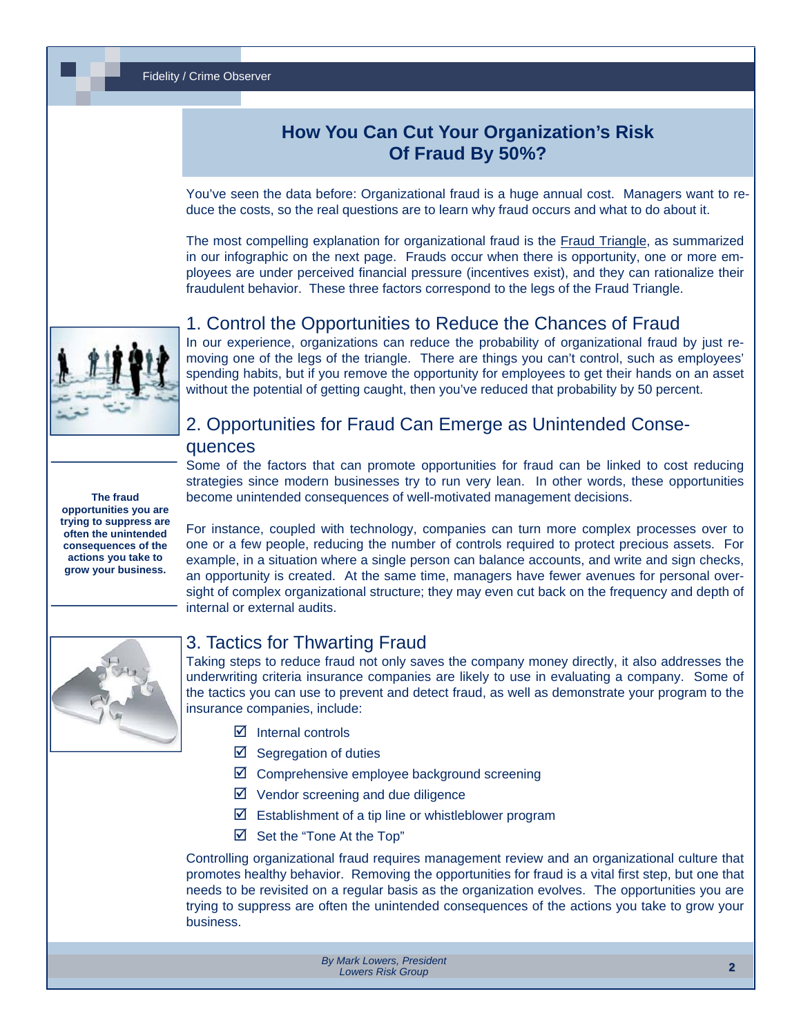### Fidelity / Crime Observer

## **How You Can Cut Your Organization's Risk Of Fraud By 50%?**

You've seen the data before: Organizational fraud is a huge annual cost. Managers want to reduce the costs, so the real questions are to learn why fraud occurs and what to do about it.

The most compelling explanation for organizational fraud is the [Fraud Triangle](http://www.lowersriskgroup.com/files/LRG-Fraud-Triangle-FINAL.jpg), as summarized in our infographic on the next page. Frauds occur when there is opportunity, one or more employees are under perceived financial pressure (incentives exist), and they can rationalize their fraudulent behavior. These three factors correspond to the legs of the Fraud Triangle.



### 1. Control the Opportunities to Reduce the Chances of Fraud

In our experience, organizations can reduce the probability of organizational fraud by just removing one of the legs of the triangle. There are things you can't control, such as employees' spending habits, but if you remove the opportunity for employees to get their hands on an asset without the potential of getting caught, then you've reduced that probability by 50 percent.

### **The fraud opportunities you are trying to suppress are often the unintended consequences of the actions you take to grow your business.**

## 2. Opportunities for Fraud Can Emerge as Unintended Conse-

### quences

Some of the factors that can promote opportunities for fraud can be linked to cost reducing strategies since modern businesses try to run very lean. In other words, these opportunities become unintended consequences of well-motivated management decisions.

For instance, coupled with technology, companies can turn more complex processes over to one or a few people, reducing the number of controls required to protect precious assets. For example, in a situation where a single person can balance accounts, and write and sign checks, an opportunity is created. At the same time, managers have fewer avenues for personal oversight of complex organizational structure; they may even cut back on the frequency and depth of internal or external audits.



### 3. Tactics for Thwarting Fraud

Taking steps to reduce fraud not only saves the company money directly, it also addresses the underwriting criteria insurance companies are likely to use in evaluating a company. Some of the tactics you can use to prevent and detect fraud, as well as demonstrate your program to the insurance companies, include:

- $\boxtimes$  Internal controls
- $\boxtimes$  Segregation of duties
- $\boxtimes$  Comprehensive employee background screening
- $\boxtimes$  Vendor screening and due diligence
- $\boxtimes$  Establishment of a tip line or whistleblower program
- $\boxtimes$  Set the "Tone At the Top"

Controlling organizational fraud requires management review and an organizational culture that promotes healthy behavior. Removing the opportunities for fraud is a vital first step, but one that needs to be revisited on a regular basis as the organization evolves. The opportunities you are trying to suppress are often the unintended consequences of the actions you take to grow your business.

> *By Mark Lowers, [President](http://www.lowersriskgroup.com/news/index.php?id=11) Lowers Risk Group*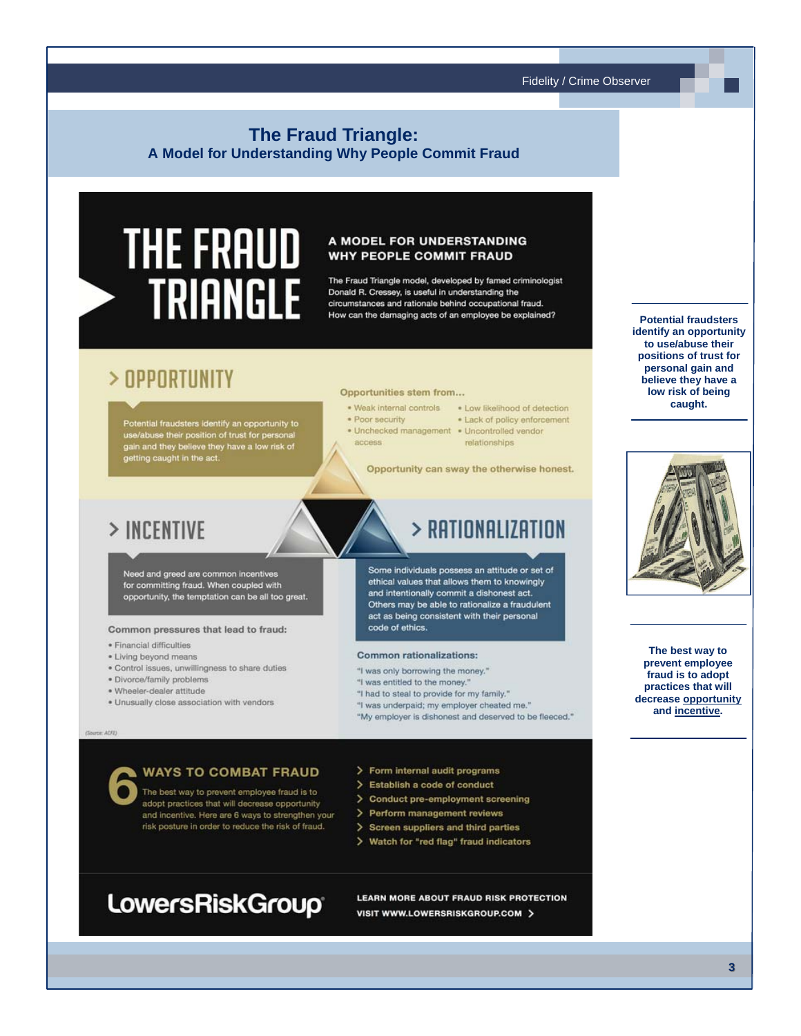### **The Fraud Triangle:** A Model for Understanding Why People Commit Fraud

# **THE FRAUD TRIANGLE**

### A MODEL FOR UNDERSTANDING **WHY PEOPLE COMMIT FRAUD**

The Fraud Triangle model, developed by famed criminologist Donald R. Cressey, is useful in understanding the circumstances and rationale behind occupational fraud. How can the damaging acts of an employee be explained?

## > OPPORTUNITY

Potential fraudsters identify an opportunity to<br>use/abuse their position of trust for personal<br>gain and they believe they have a low risk of<br>getting caught in the act.

### Opportunities stem from...

- · Weak internal controls
- · Poor security

code of ethics.

- 
- access.
- . Low likelihood of detection . Lack of policy enforcement
- · Unchecked management · Uncontrolled vendor
	- relationships

> RATIONALIZATION

Opportunity can sway the otherwise honest.

Some individuals possess an attitude or set of

ethical values that allows them to knowingly and intentionally commit a dishonest act.

Others may be able to rationalize a fraudulent act as being consistent with their personal

## > INCENTIVE

Need and greed are common incentives<br>for committing fraud. When coupled with opportunity, the temptation can be all too great.

#### Common pressures that lead to fraud:

- · Financial difficulties
- · Living beyond means
- · Control issues, unwillingness to share duties
- · Divorce/family problems
- · Wheeler-dealer attitude
- · Unusually close association with vendors

### **WAYS TO COMBAT FRAUD**

The best way to prevent employee fraud is to adopt practices that will decrease opportunity and incentive. Here are 6 ways to strengthen your risk posture in order to reduce the risk of fraud.

**Common rationalizations:** 

"I was entitled to the money."

"I was only borrowing the money."

"I had to steal to provide for my family."

"I was underpaid; my employer cheated me."

"My employer is dishonest and deserved to be fleeced."

- > Form internal audit programs
- > Establish a code of conduct
- > Conduct pre-employment screening
- > Perform management reviews
- > Screen suppliers and third parties
- Watch for "red flag" fraud indicators >

## **LowersRiskGroup**

LEARN MORE ABOUT FRAUD RISK PROTECTION VISIT WWW.LOWERSRISKGROUP.COM >

**Potential fraudsters** identify an opportunity to use/abuse their positions of trust for personal gain and believe they have a low risk of being caught.



The best way to prevent employee fraud is to adopt practices that will decrease opportunity and incentive.